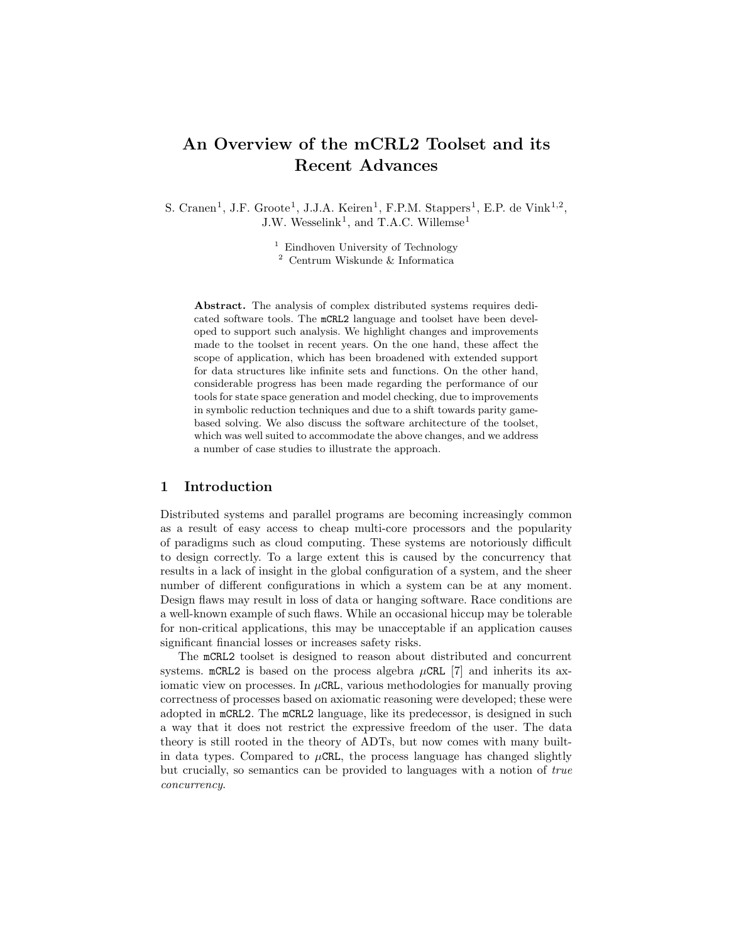# An Overview of the mCRL2 Toolset and its Recent Advances

S. Cranen<sup>1</sup>, J.F. Groote<sup>1</sup>, J.J.A. Keiren<sup>1</sup>, F.P.M. Stappers<sup>1</sup>, E.P. de Vink<sup>1,2</sup>, J.W. Wesselink<sup>1</sup>, and T.A.C. Willemse<sup>1</sup>

> <sup>1</sup> Eindhoven University of Technology  $^2$  Centrum Wiskunde  $\&$  Informatica

Abstract. The analysis of complex distributed systems requires dedicated software tools. The mCRL2 language and toolset have been developed to support such analysis. We highlight changes and improvements made to the toolset in recent years. On the one hand, these affect the scope of application, which has been broadened with extended support for data structures like infinite sets and functions. On the other hand, considerable progress has been made regarding the performance of our tools for state space generation and model checking, due to improvements in symbolic reduction techniques and due to a shift towards parity gamebased solving. We also discuss the software architecture of the toolset, which was well suited to accommodate the above changes, and we address a number of case studies to illustrate the approach.

#### 1 Introduction

Distributed systems and parallel programs are becoming increasingly common as a result of easy access to cheap multi-core processors and the popularity of paradigms such as cloud computing. These systems are notoriously difficult to design correctly. To a large extent this is caused by the concurrency that results in a lack of insight in the global configuration of a system, and the sheer number of different configurations in which a system can be at any moment. Design flaws may result in loss of data or hanging software. Race conditions are a well-known example of such flaws. While an occasional hiccup may be tolerable for non-critical applications, this may be unacceptable if an application causes significant financial losses or increases safety risks.

The mCRL2 toolset is designed to reason about distributed and concurrent systems. mCRL2 is based on the process algebra  $\mu$ CRL [7] and inherits its axiomatic view on processes. In  $\mu$ CRL, various methodologies for manually proving correctness of processes based on axiomatic reasoning were developed; these were adopted in mCRL2. The mCRL2 language, like its predecessor, is designed in such a way that it does not restrict the expressive freedom of the user. The data theory is still rooted in the theory of ADTs, but now comes with many builtin data types. Compared to  $\mu$ CRL, the process language has changed slightly but crucially, so semantics can be provided to languages with a notion of true concurrency.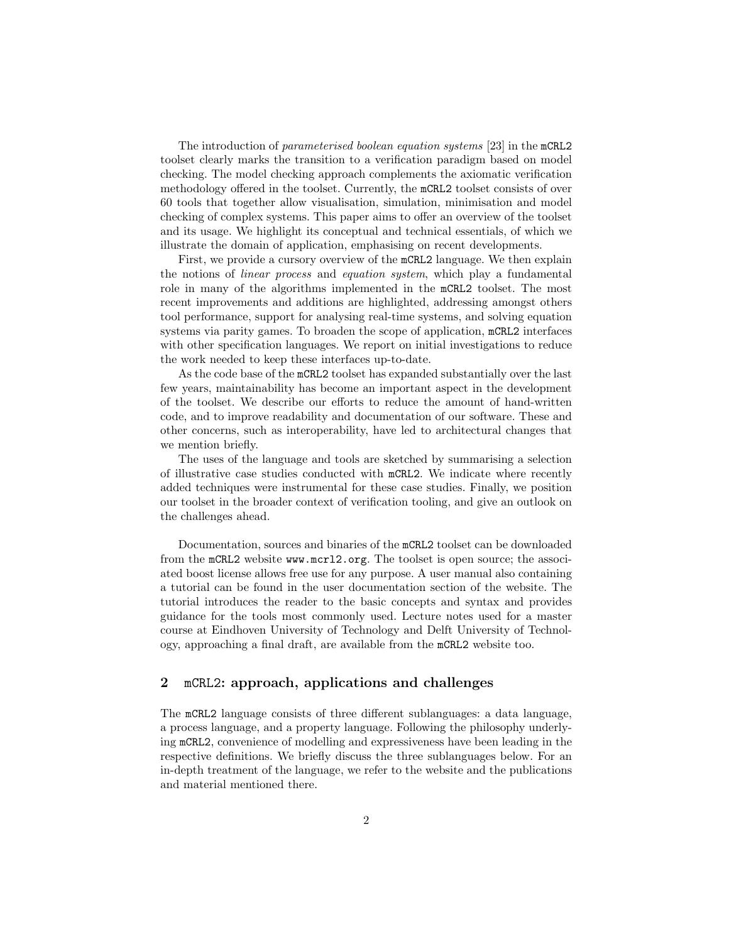The introduction of parameterised boolean equation systems [23] in the mCRL2 toolset clearly marks the transition to a verification paradigm based on model checking. The model checking approach complements the axiomatic verification methodology offered in the toolset. Currently, the mCRL2 toolset consists of over 60 tools that together allow visualisation, simulation, minimisation and model checking of complex systems. This paper aims to offer an overview of the toolset and its usage. We highlight its conceptual and technical essentials, of which we illustrate the domain of application, emphasising on recent developments.

First, we provide a cursory overview of the mCRL2 language. We then explain the notions of linear process and equation system, which play a fundamental role in many of the algorithms implemented in the mCRL2 toolset. The most recent improvements and additions are highlighted, addressing amongst others tool performance, support for analysing real-time systems, and solving equation systems via parity games. To broaden the scope of application, mCRL2 interfaces with other specification languages. We report on initial investigations to reduce the work needed to keep these interfaces up-to-date.

As the code base of the mCRL2 toolset has expanded substantially over the last few years, maintainability has become an important aspect in the development of the toolset. We describe our efforts to reduce the amount of hand-written code, and to improve readability and documentation of our software. These and other concerns, such as interoperability, have led to architectural changes that we mention briefly.

The uses of the language and tools are sketched by summarising a selection of illustrative case studies conducted with mCRL2. We indicate where recently added techniques were instrumental for these case studies. Finally, we position our toolset in the broader context of verification tooling, and give an outlook on the challenges ahead.

Documentation, sources and binaries of the mCRL2 toolset can be downloaded from the mCRL2 website www.mcrl2.org. The toolset is open source; the associated boost license allows free use for any purpose. A user manual also containing a tutorial can be found in the user documentation section of the website. The tutorial introduces the reader to the basic concepts and syntax and provides guidance for the tools most commonly used. Lecture notes used for a master course at Eindhoven University of Technology and Delft University of Technology, approaching a final draft, are available from the mCRL2 website too.

## 2 mCRL2: approach, applications and challenges

The mCRL2 language consists of three different sublanguages: a data language, a process language, and a property language. Following the philosophy underlying mCRL2, convenience of modelling and expressiveness have been leading in the respective definitions. We briefly discuss the three sublanguages below. For an in-depth treatment of the language, we refer to the website and the publications and material mentioned there.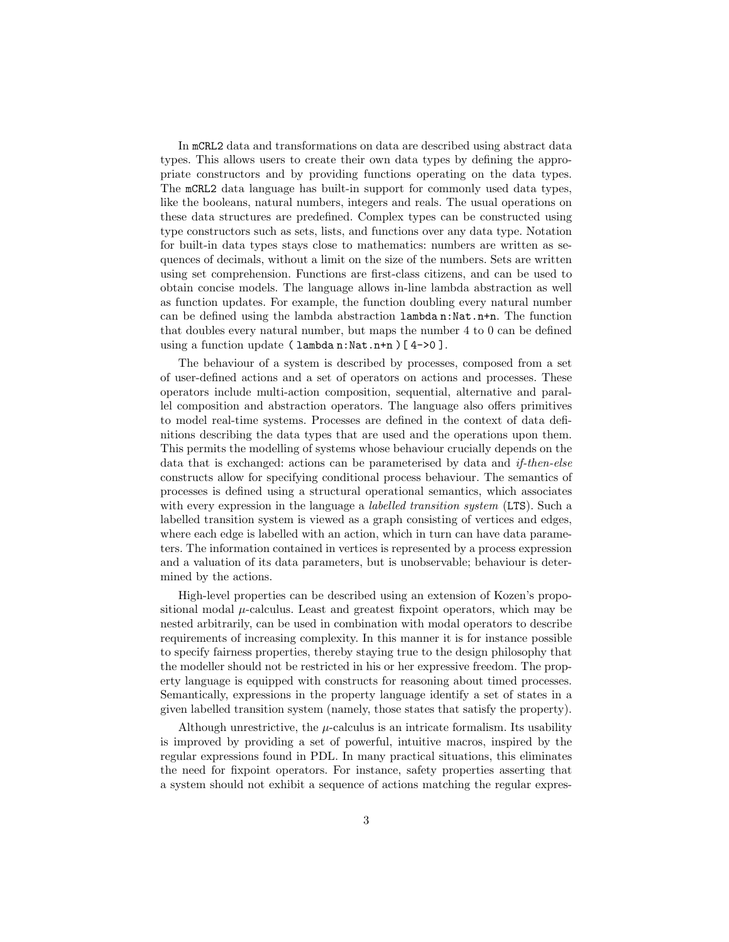In mCRL2 data and transformations on data are described using abstract data types. This allows users to create their own data types by defining the appropriate constructors and by providing functions operating on the data types. The mCRL2 data language has built-in support for commonly used data types, like the booleans, natural numbers, integers and reals. The usual operations on these data structures are predefined. Complex types can be constructed using type constructors such as sets, lists, and functions over any data type. Notation for built-in data types stays close to mathematics: numbers are written as sequences of decimals, without a limit on the size of the numbers. Sets are written using set comprehension. Functions are first-class citizens, and can be used to obtain concise models. The language allows in-line lambda abstraction as well as function updates. For example, the function doubling every natural number can be defined using the lambda abstraction  $lambda n:Nat.n+n$ . The function that doubles every natural number, but maps the number 4 to 0 can be defined using a function update  $(\text{lambda n}:Nat.n+n)$  [4->0].

The behaviour of a system is described by processes, composed from a set of user-defined actions and a set of operators on actions and processes. These operators include multi-action composition, sequential, alternative and parallel composition and abstraction operators. The language also offers primitives to model real-time systems. Processes are defined in the context of data definitions describing the data types that are used and the operations upon them. This permits the modelling of systems whose behaviour crucially depends on the data that is exchanged: actions can be parameterised by data and *if-then-else* constructs allow for specifying conditional process behaviour. The semantics of processes is defined using a structural operational semantics, which associates with every expression in the language a *labelled transition system* (LTS). Such a labelled transition system is viewed as a graph consisting of vertices and edges, where each edge is labelled with an action, which in turn can have data parameters. The information contained in vertices is represented by a process expression and a valuation of its data parameters, but is unobservable; behaviour is determined by the actions.

High-level properties can be described using an extension of Kozen's propositional modal  $\mu$ -calculus. Least and greatest fixpoint operators, which may be nested arbitrarily, can be used in combination with modal operators to describe requirements of increasing complexity. In this manner it is for instance possible to specify fairness properties, thereby staying true to the design philosophy that the modeller should not be restricted in his or her expressive freedom. The property language is equipped with constructs for reasoning about timed processes. Semantically, expressions in the property language identify a set of states in a given labelled transition system (namely, those states that satisfy the property).

Although unrestrictive, the  $\mu$ -calculus is an intricate formalism. Its usability is improved by providing a set of powerful, intuitive macros, inspired by the regular expressions found in PDL. In many practical situations, this eliminates the need for fixpoint operators. For instance, safety properties asserting that a system should not exhibit a sequence of actions matching the regular expres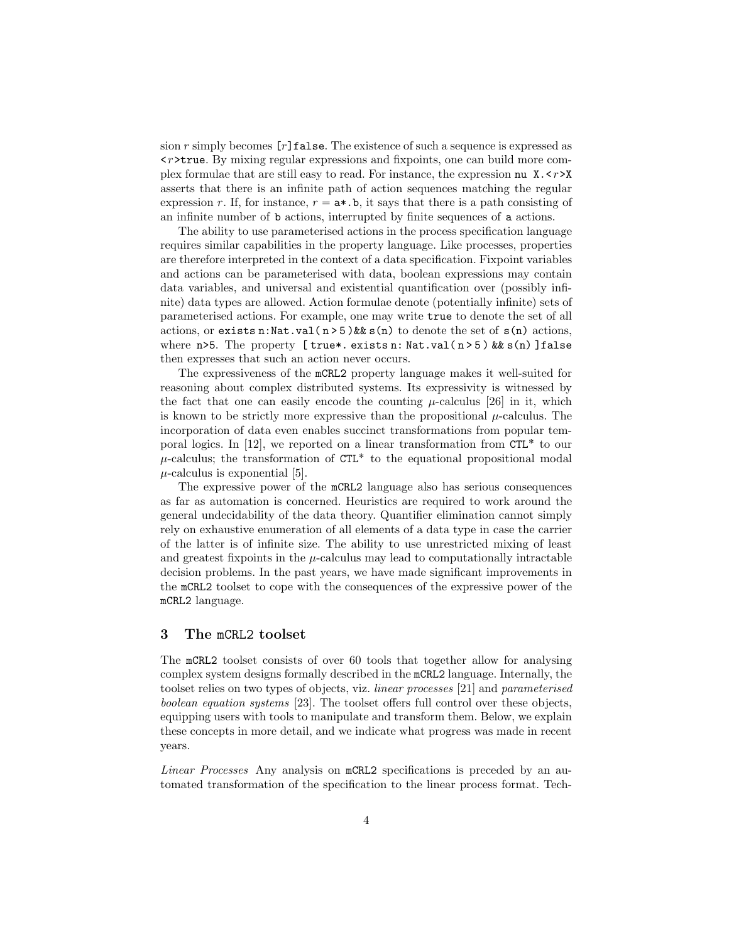sion r simply becomes  $[r]$  false. The existence of such a sequence is expressed as  $\langle r \rangle$ true. By mixing regular expressions and fixpoints, one can build more complex formulae that are still easy to read. For instance, the expression nu  $X.\leq r\geq X$ asserts that there is an infinite path of action sequences matching the regular expression r. If, for instance,  $r = a^*$ , b, it says that there is a path consisting of an infinite number of b actions, interrupted by finite sequences of a actions.

The ability to use parameterised actions in the process specification language requires similar capabilities in the property language. Like processes, properties are therefore interpreted in the context of a data specification. Fixpoint variables and actions can be parameterised with data, boolean expressions may contain data variables, and universal and existential quantification over (possibly infinite) data types are allowed. Action formulae denote (potentially infinite) sets of parameterised actions. For example, one may write true to denote the set of all actions, or exists n:Nat.val( $n > 5$ ) &  $s(n)$  to denote the set of  $s(n)$  actions, where  $n>5$ . The property [true\*. exists n: Nat.val( $n>5$ ) && s(n)]false then expresses that such an action never occurs.

The expressiveness of the mCRL2 property language makes it well-suited for reasoning about complex distributed systems. Its expressivity is witnessed by the fact that one can easily encode the counting  $\mu$ -calculus [26] in it, which is known to be strictly more expressive than the propositional  $\mu$ -calculus. The incorporation of data even enables succinct transformations from popular temporal logics. In [12], we reported on a linear transformation from CTL˚ to our  $\mu$ -calculus; the transformation of CTL<sup>\*</sup> to the equational propositional modal  $\mu$ -calculus is exponential [5].

The expressive power of the mCRL2 language also has serious consequences as far as automation is concerned. Heuristics are required to work around the general undecidability of the data theory. Quantifier elimination cannot simply rely on exhaustive enumeration of all elements of a data type in case the carrier of the latter is of infinite size. The ability to use unrestricted mixing of least and greatest fixpoints in the  $\mu$ -calculus may lead to computationally intractable decision problems. In the past years, we have made significant improvements in the mCRL2 toolset to cope with the consequences of the expressive power of the mCRL2 language.

#### 3 The mCRL2 toolset

The mCRL2 toolset consists of over 60 tools that together allow for analysing complex system designs formally described in the mCRL2 language. Internally, the toolset relies on two types of objects, viz. linear processes [21] and parameterised boolean equation systems [23]. The toolset offers full control over these objects, equipping users with tools to manipulate and transform them. Below, we explain these concepts in more detail, and we indicate what progress was made in recent years.

Linear Processes Any analysis on mCRL2 specifications is preceded by an automated transformation of the specification to the linear process format. Tech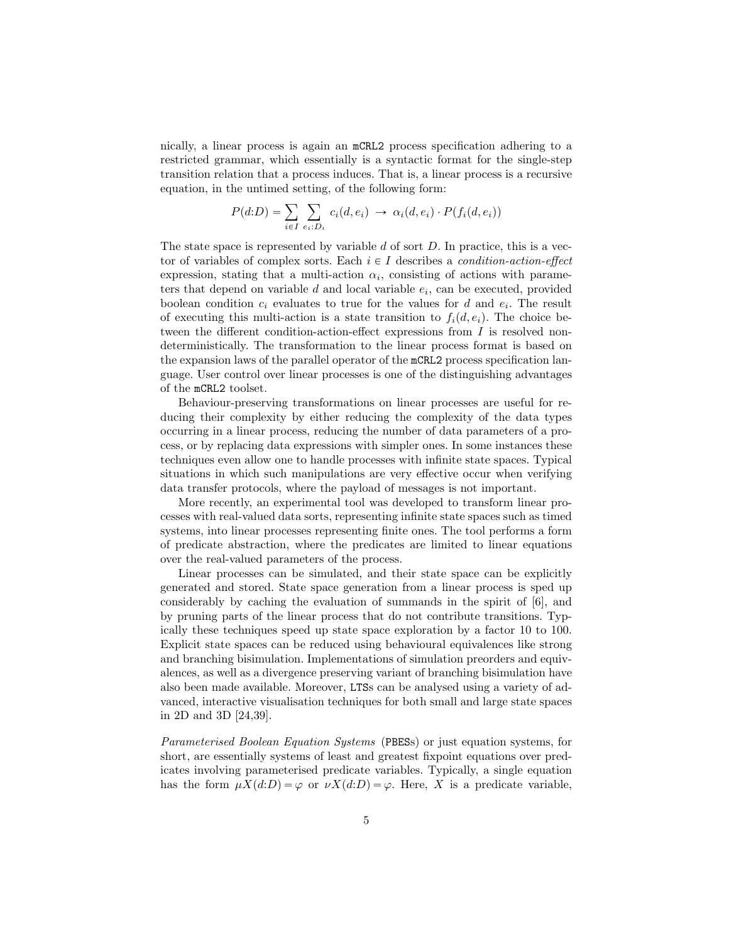nically, a linear process is again an mCRL2 process specification adhering to a restricted grammar, which essentially is a syntactic format for the single-step transition relation that a process induces. That is, a linear process is a recursive equation, in the untimed setting, of the following form:

$$
P(d:D) = \sum_{i \in I} \sum_{e_i:D_i} c_i(d,e_i) \rightarrow \alpha_i(d,e_i) \cdot P(f_i(d,e_i))
$$

The state space is represented by variable  $d$  of sort  $D$ . In practice, this is a vector of variables of complex sorts. Each  $i \in I$  describes a *condition-action-effect* expression, stating that a multi-action  $\alpha_i$ , consisting of actions with parameters that depend on variable  $d$  and local variable  $e_i$ , can be executed, provided boolean condition  $c_i$  evaluates to true for the values for d and  $e_i$ . The result of executing this multi-action is a state transition to  $f_i(d, e_i)$ . The choice between the different condition-action-effect expressions from  $I$  is resolved nondeterministically. The transformation to the linear process format is based on the expansion laws of the parallel operator of the mCRL2 process specification language. User control over linear processes is one of the distinguishing advantages of the mCRL2 toolset.

Behaviour-preserving transformations on linear processes are useful for reducing their complexity by either reducing the complexity of the data types occurring in a linear process, reducing the number of data parameters of a process, or by replacing data expressions with simpler ones. In some instances these techniques even allow one to handle processes with infinite state spaces. Typical situations in which such manipulations are very effective occur when verifying data transfer protocols, where the payload of messages is not important.

More recently, an experimental tool was developed to transform linear processes with real-valued data sorts, representing infinite state spaces such as timed systems, into linear processes representing finite ones. The tool performs a form of predicate abstraction, where the predicates are limited to linear equations over the real-valued parameters of the process.

Linear processes can be simulated, and their state space can be explicitly generated and stored. State space generation from a linear process is sped up considerably by caching the evaluation of summands in the spirit of [6], and by pruning parts of the linear process that do not contribute transitions. Typically these techniques speed up state space exploration by a factor 10 to 100. Explicit state spaces can be reduced using behavioural equivalences like strong and branching bisimulation. Implementations of simulation preorders and equivalences, as well as a divergence preserving variant of branching bisimulation have also been made available. Moreover, LTSs can be analysed using a variety of advanced, interactive visualisation techniques for both small and large state spaces in 2D and 3D [24,39].

Parameterised Boolean Equation Systems (PBESs) or just equation systems, for short, are essentially systems of least and greatest fixpoint equations over predicates involving parameterised predicate variables. Typically, a single equation has the form  $\mu X(d:D) = \varphi$  or  $\nu X(d:D) = \varphi$ . Here, X is a predicate variable,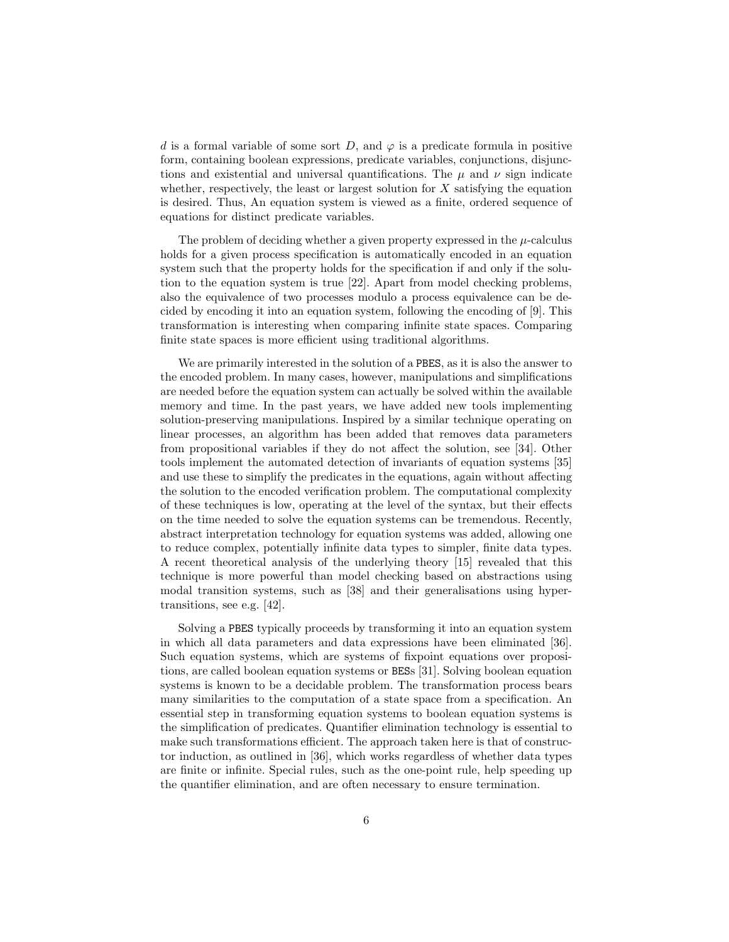d is a formal variable of some sort D, and  $\varphi$  is a predicate formula in positive form, containing boolean expressions, predicate variables, conjunctions, disjunctions and existential and universal quantifications. The  $\mu$  and  $\nu$  sign indicate whether, respectively, the least or largest solution for  $X$  satisfying the equation is desired. Thus, An equation system is viewed as a finite, ordered sequence of equations for distinct predicate variables.

The problem of deciding whether a given property expressed in the  $\mu$ -calculus holds for a given process specification is automatically encoded in an equation system such that the property holds for the specification if and only if the solution to the equation system is true [22]. Apart from model checking problems, also the equivalence of two processes modulo a process equivalence can be decided by encoding it into an equation system, following the encoding of [9]. This transformation is interesting when comparing infinite state spaces. Comparing finite state spaces is more efficient using traditional algorithms.

We are primarily interested in the solution of a PBES, as it is also the answer to the encoded problem. In many cases, however, manipulations and simplifications are needed before the equation system can actually be solved within the available memory and time. In the past years, we have added new tools implementing solution-preserving manipulations. Inspired by a similar technique operating on linear processes, an algorithm has been added that removes data parameters from propositional variables if they do not affect the solution, see [34]. Other tools implement the automated detection of invariants of equation systems [35] and use these to simplify the predicates in the equations, again without affecting the solution to the encoded verification problem. The computational complexity of these techniques is low, operating at the level of the syntax, but their effects on the time needed to solve the equation systems can be tremendous. Recently, abstract interpretation technology for equation systems was added, allowing one to reduce complex, potentially infinite data types to simpler, finite data types. A recent theoretical analysis of the underlying theory [15] revealed that this technique is more powerful than model checking based on abstractions using modal transition systems, such as [38] and their generalisations using hypertransitions, see e.g. [42].

Solving a PBES typically proceeds by transforming it into an equation system in which all data parameters and data expressions have been eliminated [36]. Such equation systems, which are systems of fixpoint equations over propositions, are called boolean equation systems or BESs [31]. Solving boolean equation systems is known to be a decidable problem. The transformation process bears many similarities to the computation of a state space from a specification. An essential step in transforming equation systems to boolean equation systems is the simplification of predicates. Quantifier elimination technology is essential to make such transformations efficient. The approach taken here is that of constructor induction, as outlined in [36], which works regardless of whether data types are finite or infinite. Special rules, such as the one-point rule, help speeding up the quantifier elimination, and are often necessary to ensure termination.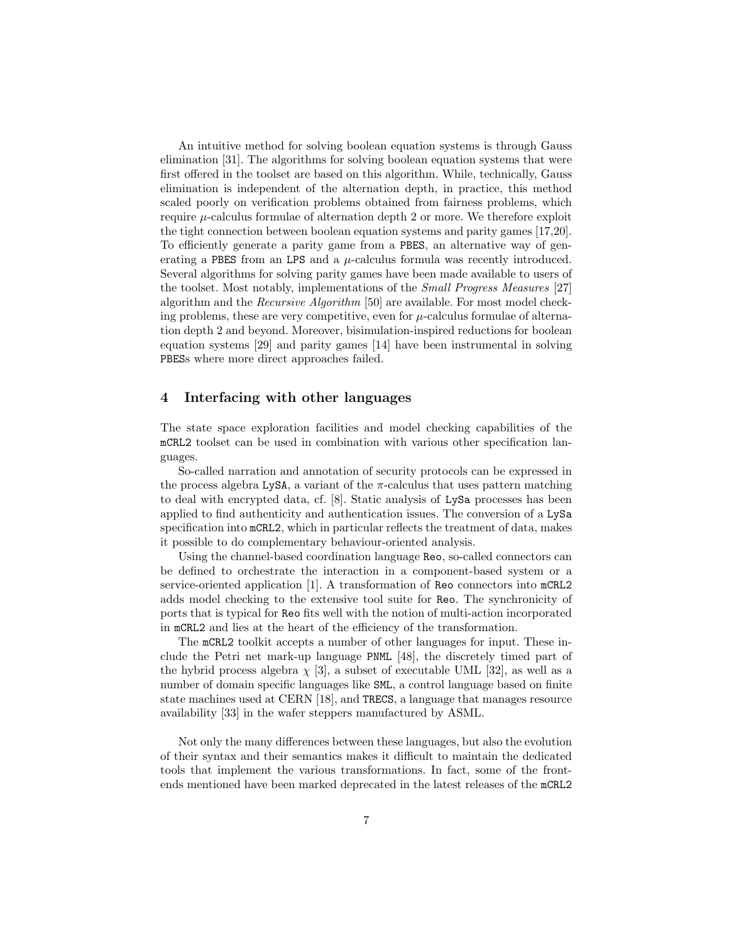An intuitive method for solving boolean equation systems is through Gauss elimination [31]. The algorithms for solving boolean equation systems that were first offered in the toolset are based on this algorithm. While, technically, Gauss elimination is independent of the alternation depth, in practice, this method scaled poorly on verification problems obtained from fairness problems, which require  $\mu$ -calculus formulae of alternation depth 2 or more. We therefore exploit the tight connection between boolean equation systems and parity games [17,20]. To efficiently generate a parity game from a PBES, an alternative way of generating a PBES from an LPS and a  $\mu$ -calculus formula was recently introduced. Several algorithms for solving parity games have been made available to users of the toolset. Most notably, implementations of the Small Progress Measures [27] algorithm and the Recursive Algorithm [50] are available. For most model checking problems, these are very competitive, even for  $\mu$ -calculus formulae of alternation depth 2 and beyond. Moreover, bisimulation-inspired reductions for boolean equation systems [29] and parity games [14] have been instrumental in solving PBESs where more direct approaches failed.

#### 4 Interfacing with other languages

The state space exploration facilities and model checking capabilities of the mCRL2 toolset can be used in combination with various other specification languages.

So-called narration and annotation of security protocols can be expressed in the process algebra LySA, a variant of the  $\pi$ -calculus that uses pattern matching to deal with encrypted data, cf. [8]. Static analysis of LySa processes has been applied to find authenticity and authentication issues. The conversion of a LySa specification into mCRL2, which in particular reflects the treatment of data, makes it possible to do complementary behaviour-oriented analysis.

Using the channel-based coordination language Reo, so-called connectors can be defined to orchestrate the interaction in a component-based system or a service-oriented application [1]. A transformation of Reo connectors into mCRL2 adds model checking to the extensive tool suite for Reo. The synchronicity of ports that is typical for Reo fits well with the notion of multi-action incorporated in mCRL2 and lies at the heart of the efficiency of the transformation.

The mCRL2 toolkit accepts a number of other languages for input. These include the Petri net mark-up language PNML [48], the discretely timed part of the hybrid process algebra  $\chi$  [3], a subset of executable UML [32], as well as a number of domain specific languages like SML, a control language based on finite state machines used at CERN [18], and TRECS, a language that manages resource availability [33] in the wafer steppers manufactured by ASML.

Not only the many differences between these languages, but also the evolution of their syntax and their semantics makes it difficult to maintain the dedicated tools that implement the various transformations. In fact, some of the frontends mentioned have been marked deprecated in the latest releases of the mCRL2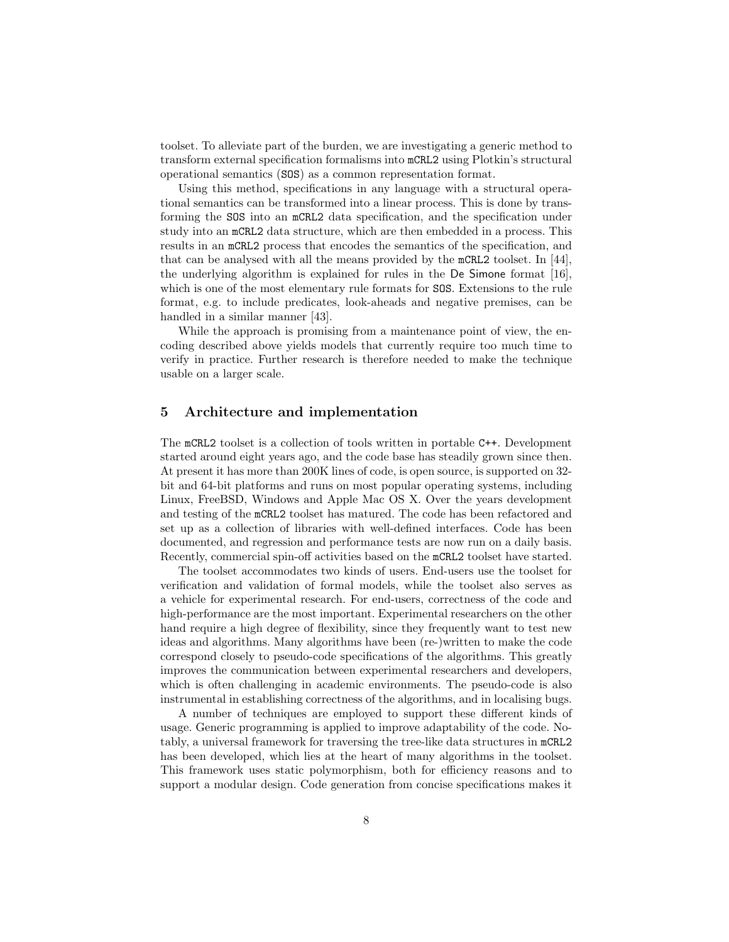toolset. To alleviate part of the burden, we are investigating a generic method to transform external specification formalisms into mCRL2 using Plotkin's structural operational semantics (SOS) as a common representation format.

Using this method, specifications in any language with a structural operational semantics can be transformed into a linear process. This is done by transforming the SOS into an mCRL2 data specification, and the specification under study into an mCRL2 data structure, which are then embedded in a process. This results in an mCRL2 process that encodes the semantics of the specification, and that can be analysed with all the means provided by the mCRL2 toolset. In [44], the underlying algorithm is explained for rules in the De Simone format [16], which is one of the most elementary rule formats for SOS. Extensions to the rule format, e.g. to include predicates, look-aheads and negative premises, can be handled in a similar manner [43].

While the approach is promising from a maintenance point of view, the encoding described above yields models that currently require too much time to verify in practice. Further research is therefore needed to make the technique usable on a larger scale.

#### 5 Architecture and implementation

The mCRL2 toolset is a collection of tools written in portable C++. Development started around eight years ago, and the code base has steadily grown since then. At present it has more than 200K lines of code, is open source, is supported on 32 bit and 64-bit platforms and runs on most popular operating systems, including Linux, FreeBSD, Windows and Apple Mac OS X. Over the years development and testing of the mCRL2 toolset has matured. The code has been refactored and set up as a collection of libraries with well-defined interfaces. Code has been documented, and regression and performance tests are now run on a daily basis. Recently, commercial spin-off activities based on the mCRL2 toolset have started.

The toolset accommodates two kinds of users. End-users use the toolset for verification and validation of formal models, while the toolset also serves as a vehicle for experimental research. For end-users, correctness of the code and high-performance are the most important. Experimental researchers on the other hand require a high degree of flexibility, since they frequently want to test new ideas and algorithms. Many algorithms have been (re-)written to make the code correspond closely to pseudo-code specifications of the algorithms. This greatly improves the communication between experimental researchers and developers, which is often challenging in academic environments. The pseudo-code is also instrumental in establishing correctness of the algorithms, and in localising bugs.

A number of techniques are employed to support these different kinds of usage. Generic programming is applied to improve adaptability of the code. Notably, a universal framework for traversing the tree-like data structures in mCRL2 has been developed, which lies at the heart of many algorithms in the toolset. This framework uses static polymorphism, both for efficiency reasons and to support a modular design. Code generation from concise specifications makes it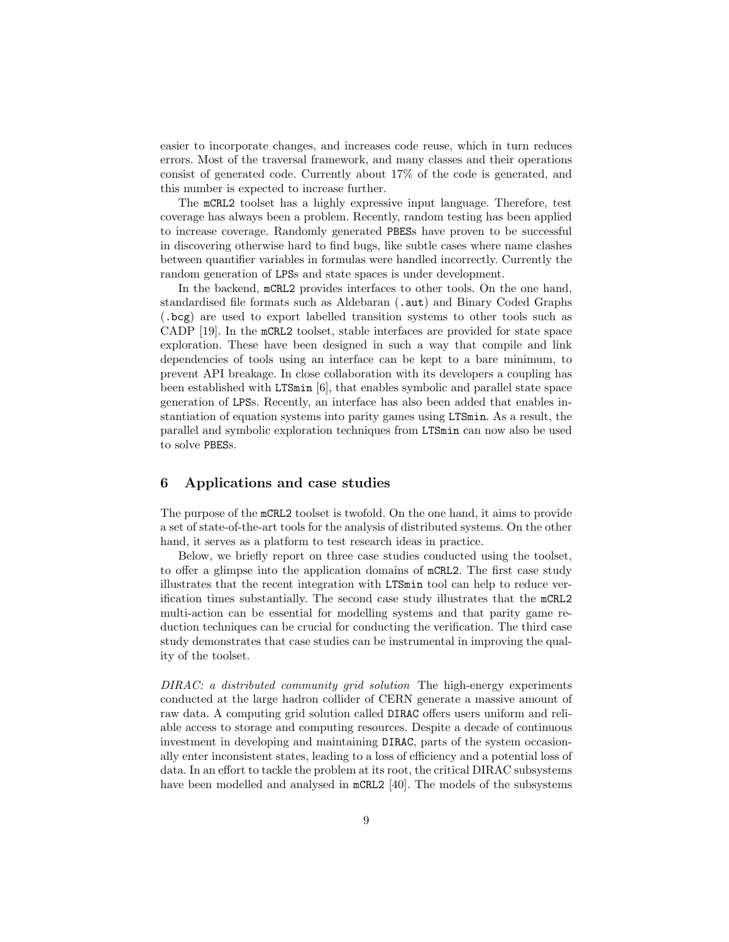easier to incorporate changes, and increases code reuse, which in turn reduces errors. Most of the traversal framework, and many classes and their operations consist of generated code. Currently about 17% of the code is generated, and this number is expected to increase further.

The mCRL2 toolset has a highly expressive input language. Therefore, test coverage has always been a problem. Recently, random testing has been applied to increase coverage. Randomly generated PBESs have proven to be successful in discovering otherwise hard to find bugs, like subtle cases where name clashes between quantifier variables in formulas were handled incorrectly. Currently the random generation of LPSs and state spaces is under development.

In the backend, mCRL2 provides interfaces to other tools. On the one hand, standardised file formats such as Aldebaran (.aut) and Binary Coded Graphs (.bcg) are used to export labelled transition systems to other tools such as CADP [19]. In the mCRL2 toolset, stable interfaces are provided for state space exploration. These have been designed in such a way that compile and link dependencies of tools using an interface can be kept to a bare minimum, to prevent API breakage. In close collaboration with its developers a coupling has been established with LTSmin [6], that enables symbolic and parallel state space generation of LPSs. Recently, an interface has also been added that enables instantiation of equation systems into parity games using LTSmin. As a result, the parallel and symbolic exploration techniques from LTSmin can now also be used to solve PBESs.

### 6 Applications and case studies

The purpose of the mCRL2 toolset is twofold. On the one hand, it aims to provide a set of state-of-the-art tools for the analysis of distributed systems. On the other hand, it serves as a platform to test research ideas in practice.

Below, we briefly report on three case studies conducted using the toolset, to offer a glimpse into the application domains of mCRL2. The first case study illustrates that the recent integration with LTSmin tool can help to reduce verification times substantially. The second case study illustrates that the mCRL2 multi-action can be essential for modelling systems and that parity game reduction techniques can be crucial for conducting the verification. The third case study demonstrates that case studies can be instrumental in improving the quality of the toolset.

DIRAC: a distributed community grid solution The high-energy experiments conducted at the large hadron collider of CERN generate a massive amount of raw data. A computing grid solution called DIRAC offers users uniform and reliable access to storage and computing resources. Despite a decade of continuous investment in developing and maintaining DIRAC, parts of the system occasionally enter inconsistent states, leading to a loss of efficiency and a potential loss of data. In an effort to tackle the problem at its root, the critical DIRAC subsystems have been modelled and analysed in  $mCRL2$  [40]. The models of the subsystems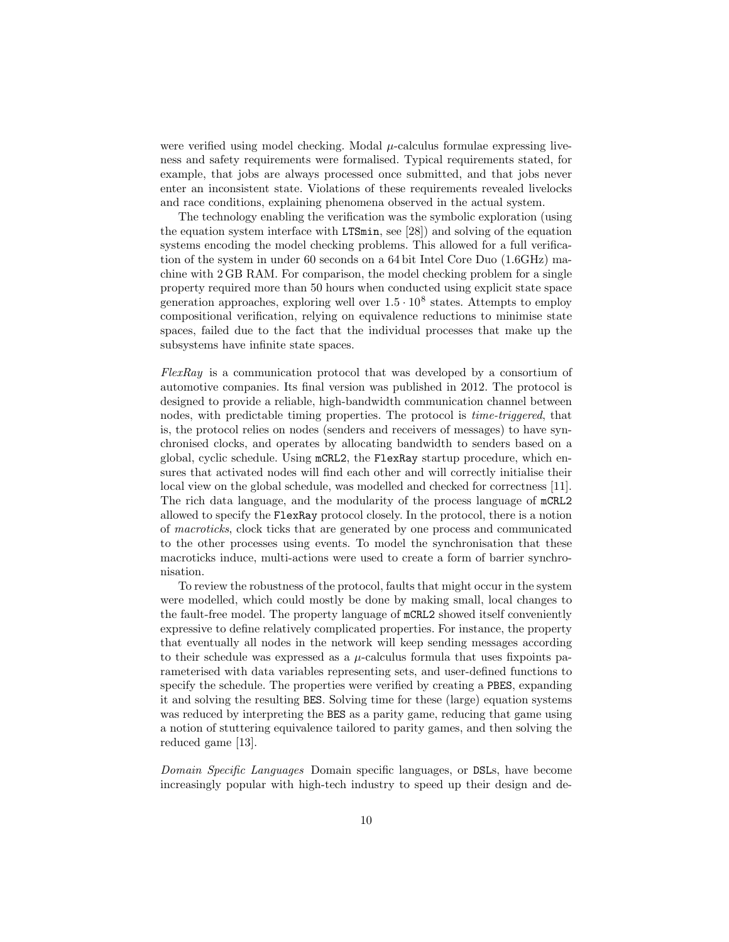were verified using model checking. Modal  $\mu$ -calculus formulae expressing liveness and safety requirements were formalised. Typical requirements stated, for example, that jobs are always processed once submitted, and that jobs never enter an inconsistent state. Violations of these requirements revealed livelocks and race conditions, explaining phenomena observed in the actual system.

The technology enabling the verification was the symbolic exploration (using the equation system interface with LTSmin, see [28]) and solving of the equation systems encoding the model checking problems. This allowed for a full verification of the system in under 60 seconds on a 64 bit Intel Core Duo (1.6GHz) machine with 2 GB RAM. For comparison, the model checking problem for a single property required more than 50 hours when conducted using explicit state space generation approaches, exploring well over  $1.5 \cdot 10^8$  states. Attempts to employ compositional verification, relying on equivalence reductions to minimise state spaces, failed due to the fact that the individual processes that make up the subsystems have infinite state spaces.

FlexRay is a communication protocol that was developed by a consortium of automotive companies. Its final version was published in 2012. The protocol is designed to provide a reliable, high-bandwidth communication channel between nodes, with predictable timing properties. The protocol is time-triggered, that is, the protocol relies on nodes (senders and receivers of messages) to have synchronised clocks, and operates by allocating bandwidth to senders based on a global, cyclic schedule. Using mCRL2, the FlexRay startup procedure, which ensures that activated nodes will find each other and will correctly initialise their local view on the global schedule, was modelled and checked for correctness [11]. The rich data language, and the modularity of the process language of mCRL2 allowed to specify the FlexRay protocol closely. In the protocol, there is a notion of macroticks, clock ticks that are generated by one process and communicated to the other processes using events. To model the synchronisation that these macroticks induce, multi-actions were used to create a form of barrier synchronisation.

To review the robustness of the protocol, faults that might occur in the system were modelled, which could mostly be done by making small, local changes to the fault-free model. The property language of mCRL2 showed itself conveniently expressive to define relatively complicated properties. For instance, the property that eventually all nodes in the network will keep sending messages according to their schedule was expressed as a  $\mu$ -calculus formula that uses fixpoints parameterised with data variables representing sets, and user-defined functions to specify the schedule. The properties were verified by creating a PBES, expanding it and solving the resulting BES. Solving time for these (large) equation systems was reduced by interpreting the BES as a parity game, reducing that game using a notion of stuttering equivalence tailored to parity games, and then solving the reduced game [13].

Domain Specific Languages Domain specific languages, or DSLs, have become increasingly popular with high-tech industry to speed up their design and de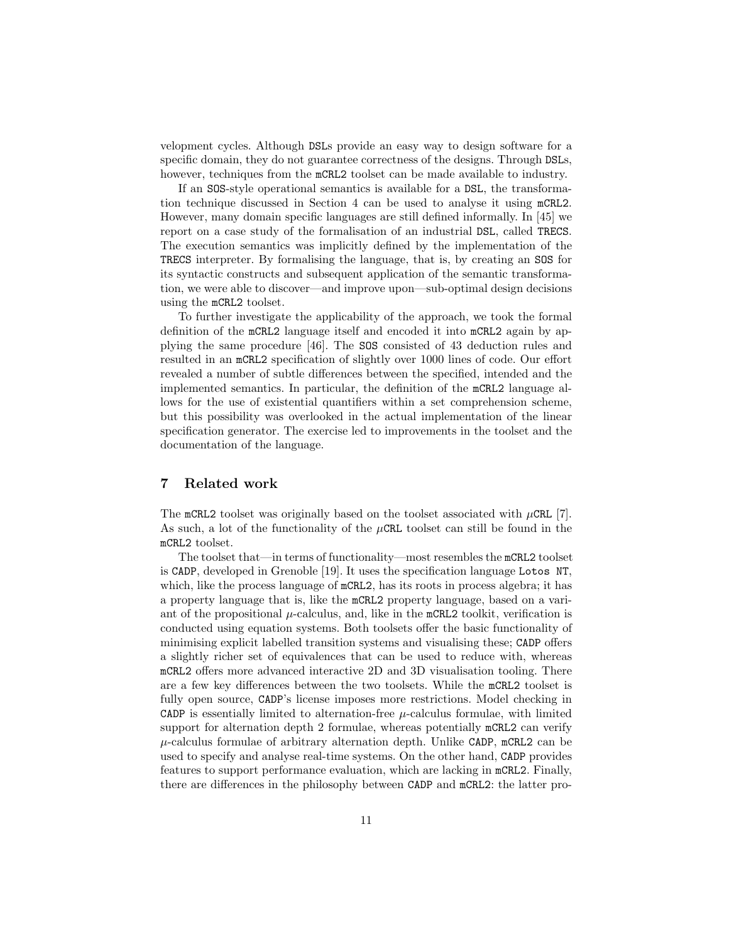velopment cycles. Although DSLs provide an easy way to design software for a specific domain, they do not guarantee correctness of the designs. Through DSLs, however, techniques from the mCRL2 toolset can be made available to industry.

If an SOS-style operational semantics is available for a DSL, the transformation technique discussed in Section 4 can be used to analyse it using mCRL2. However, many domain specific languages are still defined informally. In [45] we report on a case study of the formalisation of an industrial DSL, called TRECS. The execution semantics was implicitly defined by the implementation of the TRECS interpreter. By formalising the language, that is, by creating an SOS for its syntactic constructs and subsequent application of the semantic transformation, we were able to discover—and improve upon—sub-optimal design decisions using the mCRL2 toolset.

To further investigate the applicability of the approach, we took the formal definition of the mCRL2 language itself and encoded it into mCRL2 again by applying the same procedure [46]. The SOS consisted of 43 deduction rules and resulted in an mCRL2 specification of slightly over 1000 lines of code. Our effort revealed a number of subtle differences between the specified, intended and the implemented semantics. In particular, the definition of the mCRL2 language allows for the use of existential quantifiers within a set comprehension scheme, but this possibility was overlooked in the actual implementation of the linear specification generator. The exercise led to improvements in the toolset and the documentation of the language.

## 7 Related work

The mCRL2 toolset was originally based on the toolset associated with  $\mu$ CRL [7]. As such, a lot of the functionality of the  $\mu$ CRL toolset can still be found in the mCRL2 toolset.

The toolset that—in terms of functionality—most resembles the mCRL2 toolset is CADP, developed in Grenoble [19]. It uses the specification language Lotos NT, which, like the process language of mCRL2, has its roots in process algebra; it has a property language that is, like the mCRL2 property language, based on a variant of the propositional  $\mu$ -calculus, and, like in the mCRL2 toolkit, verification is conducted using equation systems. Both toolsets offer the basic functionality of minimising explicit labelled transition systems and visualising these; CADP offers a slightly richer set of equivalences that can be used to reduce with, whereas mCRL2 offers more advanced interactive 2D and 3D visualisation tooling. There are a few key differences between the two toolsets. While the mCRL2 toolset is fully open source, CADP's license imposes more restrictions. Model checking in CADP is essentially limited to alternation-free  $\mu$ -calculus formulae, with limited support for alternation depth 2 formulae, whereas potentially mCRL2 can verify  $\mu$ -calculus formulae of arbitrary alternation depth. Unlike CADP, mCRL2 can be used to specify and analyse real-time systems. On the other hand, CADP provides features to support performance evaluation, which are lacking in mCRL2. Finally, there are differences in the philosophy between CADP and mCRL2: the latter pro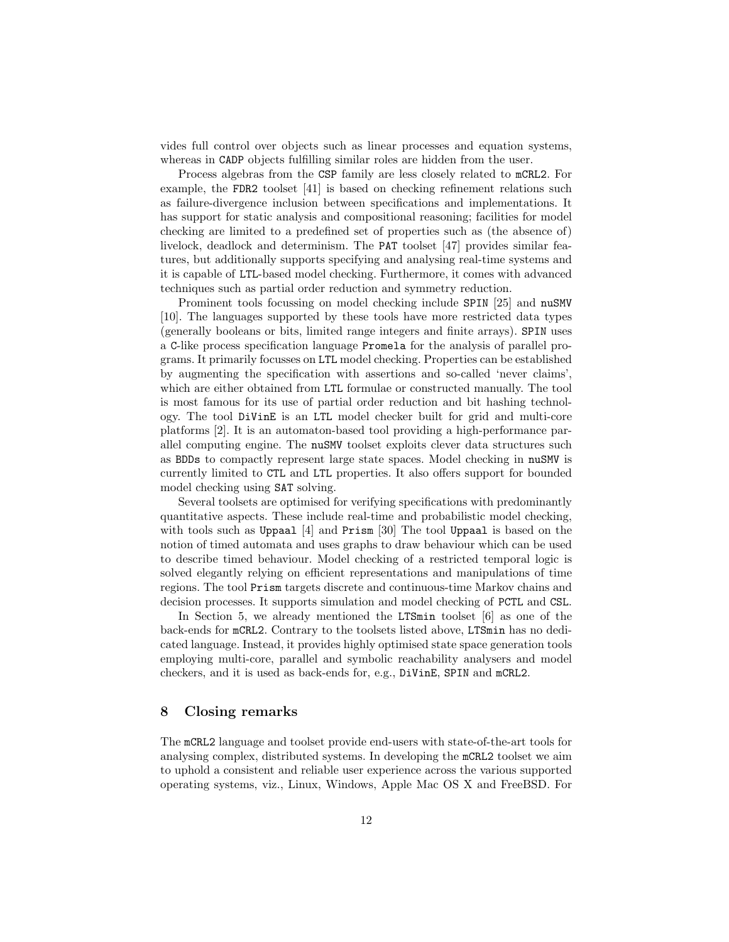vides full control over objects such as linear processes and equation systems, whereas in CADP objects fulfilling similar roles are hidden from the user.

Process algebras from the CSP family are less closely related to mCRL2. For example, the FDR2 toolset [41] is based on checking refinement relations such as failure-divergence inclusion between specifications and implementations. It has support for static analysis and compositional reasoning; facilities for model checking are limited to a predefined set of properties such as (the absence of) livelock, deadlock and determinism. The PAT toolset [47] provides similar features, but additionally supports specifying and analysing real-time systems and it is capable of LTL-based model checking. Furthermore, it comes with advanced techniques such as partial order reduction and symmetry reduction.

Prominent tools focussing on model checking include SPIN [25] and nuSMV [10]. The languages supported by these tools have more restricted data types (generally booleans or bits, limited range integers and finite arrays). SPIN uses a C-like process specification language Promela for the analysis of parallel programs. It primarily focusses on LTL model checking. Properties can be established by augmenting the specification with assertions and so-called 'never claims', which are either obtained from LTL formulae or constructed manually. The tool is most famous for its use of partial order reduction and bit hashing technology. The tool DiVinE is an LTL model checker built for grid and multi-core platforms [2]. It is an automaton-based tool providing a high-performance parallel computing engine. The nuSMV toolset exploits clever data structures such as BDDs to compactly represent large state spaces. Model checking in nuSMV is currently limited to CTL and LTL properties. It also offers support for bounded model checking using SAT solving.

Several toolsets are optimised for verifying specifications with predominantly quantitative aspects. These include real-time and probabilistic model checking, with tools such as Uppaal [4] and Prism [30] The tool Uppaal is based on the notion of timed automata and uses graphs to draw behaviour which can be used to describe timed behaviour. Model checking of a restricted temporal logic is solved elegantly relying on efficient representations and manipulations of time regions. The tool Prism targets discrete and continuous-time Markov chains and decision processes. It supports simulation and model checking of PCTL and CSL.

In Section 5, we already mentioned the LTSmin toolset [6] as one of the back-ends for mCRL2. Contrary to the toolsets listed above, LTSmin has no dedicated language. Instead, it provides highly optimised state space generation tools employing multi-core, parallel and symbolic reachability analysers and model checkers, and it is used as back-ends for, e.g., DiVinE, SPIN and mCRL2.

#### 8 Closing remarks

The mCRL2 language and toolset provide end-users with state-of-the-art tools for analysing complex, distributed systems. In developing the mCRL2 toolset we aim to uphold a consistent and reliable user experience across the various supported operating systems, viz., Linux, Windows, Apple Mac OS X and FreeBSD. For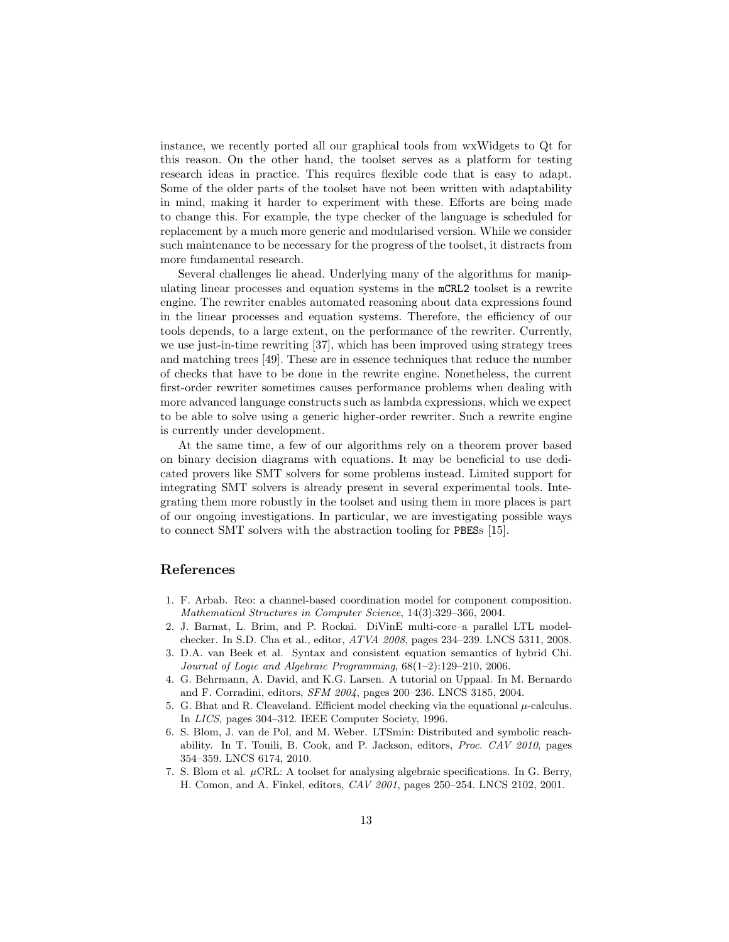instance, we recently ported all our graphical tools from wxWidgets to Qt for this reason. On the other hand, the toolset serves as a platform for testing research ideas in practice. This requires flexible code that is easy to adapt. Some of the older parts of the toolset have not been written with adaptability in mind, making it harder to experiment with these. Efforts are being made to change this. For example, the type checker of the language is scheduled for replacement by a much more generic and modularised version. While we consider such maintenance to be necessary for the progress of the toolset, it distracts from more fundamental research.

Several challenges lie ahead. Underlying many of the algorithms for manipulating linear processes and equation systems in the mCRL2 toolset is a rewrite engine. The rewriter enables automated reasoning about data expressions found in the linear processes and equation systems. Therefore, the efficiency of our tools depends, to a large extent, on the performance of the rewriter. Currently, we use just-in-time rewriting [37], which has been improved using strategy trees and matching trees [49]. These are in essence techniques that reduce the number of checks that have to be done in the rewrite engine. Nonetheless, the current first-order rewriter sometimes causes performance problems when dealing with more advanced language constructs such as lambda expressions, which we expect to be able to solve using a generic higher-order rewriter. Such a rewrite engine is currently under development.

At the same time, a few of our algorithms rely on a theorem prover based on binary decision diagrams with equations. It may be beneficial to use dedicated provers like SMT solvers for some problems instead. Limited support for integrating SMT solvers is already present in several experimental tools. Integrating them more robustly in the toolset and using them in more places is part of our ongoing investigations. In particular, we are investigating possible ways to connect SMT solvers with the abstraction tooling for PBESs [15].

#### References

- 1. F. Arbab. Reo: a channel-based coordination model for component composition. Mathematical Structures in Computer Science, 14(3):329–366, 2004.
- 2. J. Barnat, L. Brim, and P. Rockai. DiVinE multi-core–a parallel LTL modelchecker. In S.D. Cha et al., editor, ATVA 2008, pages 234–239. LNCS 5311, 2008.
- 3. D.A. van Beek et al. Syntax and consistent equation semantics of hybrid Chi. Journal of Logic and Algebraic Programming, 68(1–2):129–210, 2006.
- 4. G. Behrmann, A. David, and K.G. Larsen. A tutorial on Uppaal. In M. Bernardo and F. Corradini, editors, SFM 2004, pages 200–236. LNCS 3185, 2004.
- 5. G. Bhat and R. Cleaveland. Efficient model checking via the equational  $\mu$ -calculus. In LICS, pages 304–312. IEEE Computer Society, 1996.
- 6. S. Blom, J. van de Pol, and M. Weber. LTSmin: Distributed and symbolic reachability. In T. Touili, B. Cook, and P. Jackson, editors, Proc. CAV 2010, pages 354–359. LNCS 6174, 2010.
- 7. S. Blom et al.  $\mu$ CRL: A toolset for analysing algebraic specifications. In G. Berry, H. Comon, and A. Finkel, editors, CAV 2001, pages 250–254. LNCS 2102, 2001.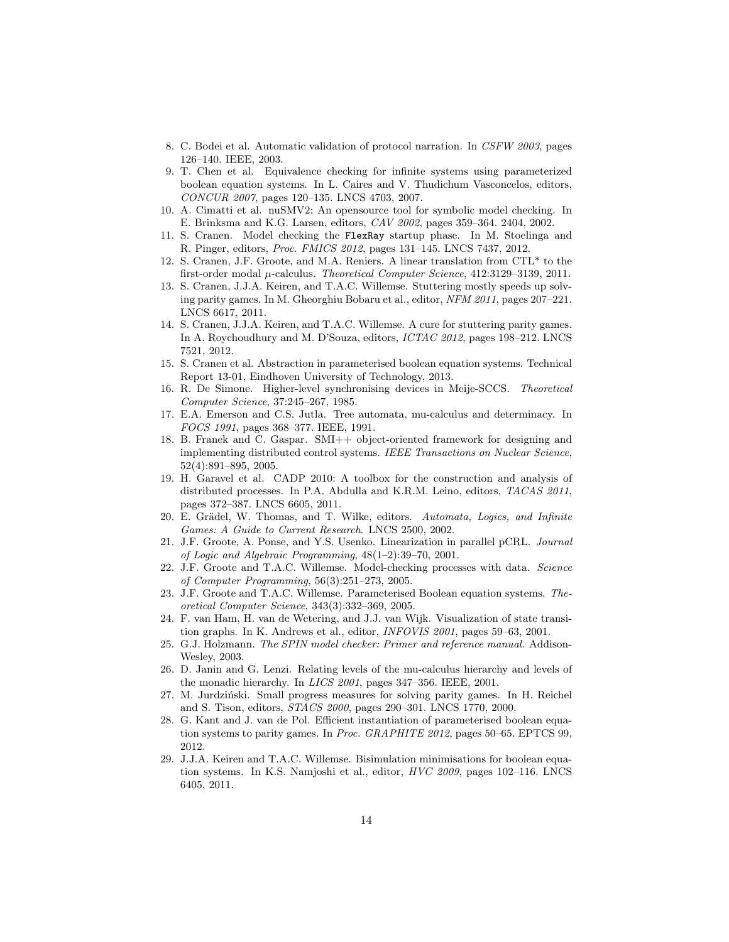- 8. C. Bodei et al. Automatic validation of protocol narration. In CSFW 2003, pages 126–140. IEEE, 2003.
- 9. T. Chen et al. Equivalence checking for infinite systems using parameterized boolean equation systems. In L. Caires and V. Thudichum Vasconcelos, editors, CONCUR 2007, pages 120–135. LNCS 4703, 2007.
- 10. A. Cimatti et al. nuSMV2: An opensource tool for symbolic model checking. In E. Brinksma and K.G. Larsen, editors, CAV 2002, pages 359–364. 2404, 2002.
- 11. S. Cranen. Model checking the FlexRay startup phase. In M. Stoelinga and R. Pinger, editors, Proc. FMICS 2012, pages 131–145. LNCS 7437, 2012.
- 12. S. Cranen, J.F. Groote, and M.A. Reniers. A linear translation from CTL\* to the first-order modal  $\mu$ -calculus. Theoretical Computer Science, 412:3129-3139, 2011.
- 13. S. Cranen, J.J.A. Keiren, and T.A.C. Willemse. Stuttering mostly speeds up solving parity games. In M. Gheorghiu Bobaru et al., editor, NFM 2011, pages 207–221. LNCS 6617, 2011.
- 14. S. Cranen, J.J.A. Keiren, and T.A.C. Willemse. A cure for stuttering parity games. In A. Roychoudhury and M. D'Souza, editors, ICTAC 2012, pages 198–212. LNCS 7521, 2012.
- 15. S. Cranen et al. Abstraction in parameterised boolean equation systems. Technical Report 13-01, Eindhoven University of Technology, 2013.
- 16. R. De Simone. Higher-level synchronising devices in Meije-SCCS. Theoretical Computer Science, 37:245–267, 1985.
- 17. E.A. Emerson and C.S. Jutla. Tree automata, mu-calculus and determinacy. In FOCS 1991, pages 368–377. IEEE, 1991.
- 18. B. Franek and C. Gaspar. SMI++ object-oriented framework for designing and implementing distributed control systems. IEEE Transactions on Nuclear Science, 52(4):891–895, 2005.
- 19. H. Garavel et al. CADP 2010: A toolbox for the construction and analysis of distributed processes. In P.A. Abdulla and K.R.M. Leino, editors, TACAS 2011, pages 372–387. LNCS 6605, 2011.
- 20. E. Grädel, W. Thomas, and T. Wilke, editors. Automata, Logics, and Infinite Games: A Guide to Current Research. LNCS 2500, 2002.
- 21. J.F. Groote, A. Ponse, and Y.S. Usenko. Linearization in parallel pCRL. Journal of Logic and Algebraic Programming, 48(1–2):39–70, 2001.
- 22. J.F. Groote and T.A.C. Willemse. Model-checking processes with data. Science of Computer Programming, 56(3):251–273, 2005.
- 23. J.F. Groote and T.A.C. Willemse. Parameterised Boolean equation systems. Theoretical Computer Science, 343(3):332–369, 2005.
- 24. F. van Ham, H. van de Wetering, and J.J. van Wijk. Visualization of state transition graphs. In K. Andrews et al., editor, INFOVIS 2001, pages 59–63, 2001.
- 25. G.J. Holzmann. The SPIN model checker: Primer and reference manual. Addison-Wesley, 2003.
- 26. D. Janin and G. Lenzi. Relating levels of the mu-calculus hierarchy and levels of the monadic hierarchy. In *LICS 2001*, pages 347–356. IEEE, 2001.
- 27. M. Jurdziński. Small progress measures for solving parity games. In H. Reichel and S. Tison, editors, STACS 2000, pages 290–301. LNCS 1770, 2000.
- 28. G. Kant and J. van de Pol. Efficient instantiation of parameterised boolean equation systems to parity games. In Proc. GRAPHITE 2012, pages 50–65. EPTCS 99, 2012.
- 29. J.J.A. Keiren and T.A.C. Willemse. Bisimulation minimisations for boolean equation systems. In K.S. Namjoshi et al., editor, HVC 2009, pages 102–116. LNCS 6405, 2011.